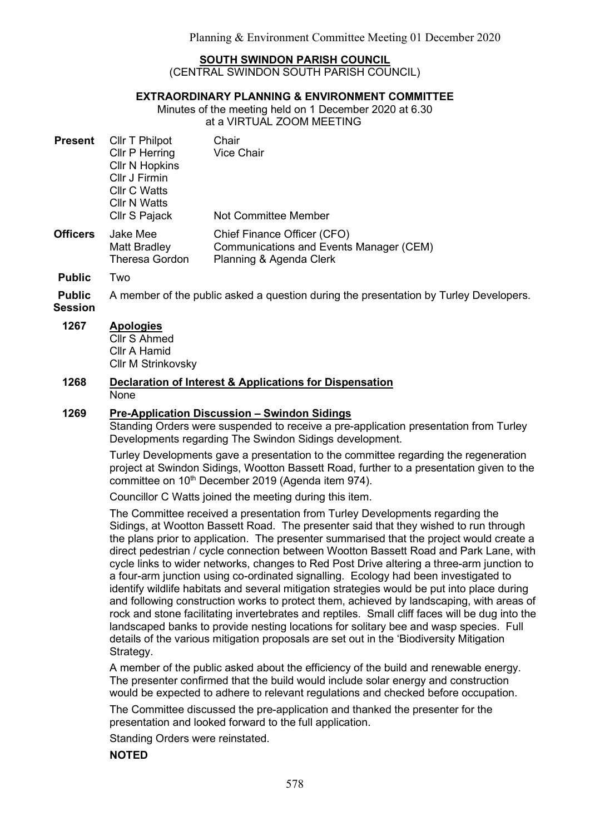## SOUTH SWINDON PARISH COUNCIL

(CENTRAL SWINDON SOUTH PARISH COUNCIL)

## EXTRAORDINARY PLANNING & ENVIRONMENT COMMITTEE

Minutes of the meeting held on 1 December 2020 at 6.30 at a VIRTUAL ZOOM MEETING

| <b>Present</b>  | Cllr T Philpot<br>Cllr P Herring<br><b>Cllr N Hopkins</b><br>Cllr J Firmin<br>Cllr C Watts<br><b>CIIr N Watts</b><br>Cllr S Pajack | Chair<br><b>Vice Chair</b><br>Not Committee Member                                                |
|-----------------|------------------------------------------------------------------------------------------------------------------------------------|---------------------------------------------------------------------------------------------------|
| <b>Officers</b> | Jake Mee<br><b>Matt Bradley</b><br><b>Theresa Gordon</b>                                                                           | Chief Finance Officer (CFO)<br>Communications and Events Manager (CEM)<br>Planning & Agenda Clerk |

Public Two

Public A member of the public asked a question during the presentation by Turley Developers.

Session

## 1267 Apologies

Cllr S Ahmed Cllr A Hamid Cllr M Strinkovsky

#### 1268 Declaration of Interest & Applications for Dispensation None

## 1269 Pre-Application Discussion – Swindon Sidings

Standing Orders were suspended to receive a pre-application presentation from Turley Developments regarding The Swindon Sidings development.

Turley Developments gave a presentation to the committee regarding the regeneration project at Swindon Sidings, Wootton Bassett Road, further to a presentation given to the committee on 10<sup>th</sup> December 2019 (Agenda item 974).

Councillor C Watts joined the meeting during this item.

The Committee received a presentation from Turley Developments regarding the Sidings, at Wootton Bassett Road. The presenter said that they wished to run through the plans prior to application. The presenter summarised that the project would create a direct pedestrian / cycle connection between Wootton Bassett Road and Park Lane, with cycle links to wider networks, changes to Red Post Drive altering a three-arm junction to a four-arm junction using co-ordinated signalling. Ecology had been investigated to identify wildlife habitats and several mitigation strategies would be put into place during and following construction works to protect them, achieved by landscaping, with areas of rock and stone facilitating invertebrates and reptiles. Small cliff faces will be dug into the landscaped banks to provide nesting locations for solitary bee and wasp species. Full details of the various mitigation proposals are set out in the 'Biodiversity Mitigation Strategy.

A member of the public asked about the efficiency of the build and renewable energy. The presenter confirmed that the build would include solar energy and construction would be expected to adhere to relevant regulations and checked before occupation.

The Committee discussed the pre-application and thanked the presenter for the presentation and looked forward to the full application.

Standing Orders were reinstated.

NOTED